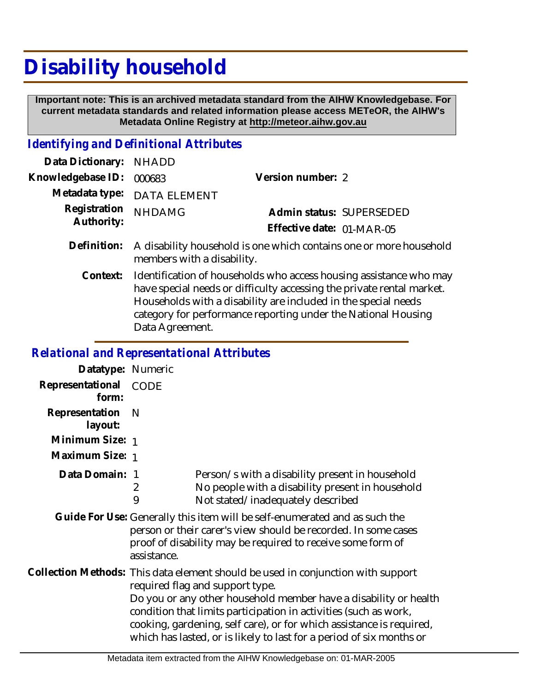## **Disability household**

 **Important note: This is an archived metadata standard from the AIHW Knowledgebase. For current metadata standards and related information please access METeOR, the AIHW's Metadata Online Registry at http://meteor.aihw.gov.au**

## *Identifying and Definitional Attributes*

| Data Dictionary: NHADD     |                                                                                                  |                           |                          |
|----------------------------|--------------------------------------------------------------------------------------------------|---------------------------|--------------------------|
| Knowledgebase ID: 000683   |                                                                                                  | Version number: 2         |                          |
|                            | Metadata type: DATA ELEMENT                                                                      |                           |                          |
| Registration<br>Authority: | <b>NHDAMG</b>                                                                                    |                           | Admin status: SUPERSEDED |
|                            |                                                                                                  | Effective date: 01-MAR-05 |                          |
| Definition:                | A disability household is one which contains one or more household<br>members with a disability. |                           |                          |

Identification of households who access housing assistance who may have special needs or difficulty accessing the private rental market. Households with a disability are included in the special needs category for performance reporting under the National Housing Data Agreement. **Context:**

## *Relational and Representational Attributes*

| Datatype: Numeric         |                                                                                                                                                                                                                                                                                                                                                                                                             |                                                                                                                                                                                                             |
|---------------------------|-------------------------------------------------------------------------------------------------------------------------------------------------------------------------------------------------------------------------------------------------------------------------------------------------------------------------------------------------------------------------------------------------------------|-------------------------------------------------------------------------------------------------------------------------------------------------------------------------------------------------------------|
| Representational<br>form: | CODE                                                                                                                                                                                                                                                                                                                                                                                                        |                                                                                                                                                                                                             |
| Representation<br>layout: | <sup>N</sup>                                                                                                                                                                                                                                                                                                                                                                                                |                                                                                                                                                                                                             |
| Minimum Size: 1           |                                                                                                                                                                                                                                                                                                                                                                                                             |                                                                                                                                                                                                             |
| Maximum Size: 1           |                                                                                                                                                                                                                                                                                                                                                                                                             |                                                                                                                                                                                                             |
| Data Domain:              | 2<br>9                                                                                                                                                                                                                                                                                                                                                                                                      | Person/s with a disability present in household<br>No people with a disability present in household<br>Not stated/inadequately described                                                                    |
|                           | assistance.                                                                                                                                                                                                                                                                                                                                                                                                 | Guide For Use: Generally this item will be self-enumerated and as such the<br>person or their carer's view should be recorded. In some cases<br>proof of disability may be required to receive some form of |
|                           | Collection Methods: This data element should be used in conjunction with support<br>required flag and support type.<br>Do you or any other household member have a disability or health<br>condition that limits participation in activities (such as work,<br>cooking, gardening, self care), or for which assistance is required,<br>which has lasted, or is likely to last for a period of six months or |                                                                                                                                                                                                             |